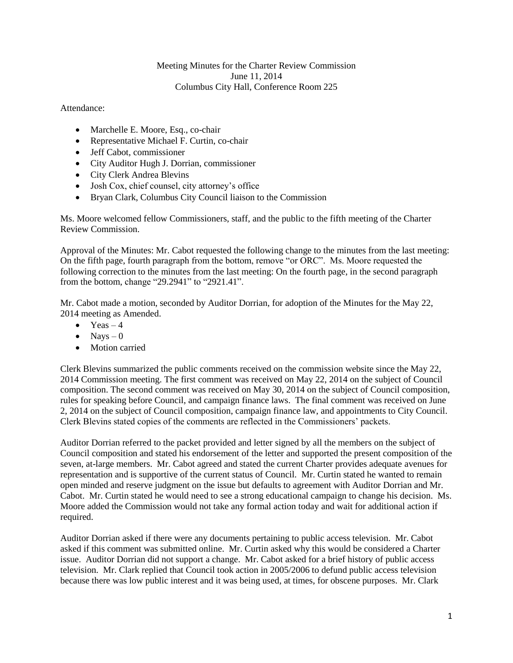## Meeting Minutes for the Charter Review Commission June 11, 2014 Columbus City Hall, Conference Room 225

Attendance:

- Marchelle E. Moore, Esq., co-chair
- Representative Michael F. Curtin, co-chair
- Jeff Cabot, commissioner
- City Auditor Hugh J. Dorrian, commissioner
- City Clerk Andrea Blevins
- Josh Cox, chief counsel, city attorney's office
- Bryan Clark, Columbus City Council liaison to the Commission

Ms. Moore welcomed fellow Commissioners, staff, and the public to the fifth meeting of the Charter Review Commission.

Approval of the Minutes: Mr. Cabot requested the following change to the minutes from the last meeting: On the fifth page, fourth paragraph from the bottom, remove "or ORC". Ms. Moore requested the following correction to the minutes from the last meeting: On the fourth page, in the second paragraph from the bottom, change "29.2941" to "2921.41".

Mr. Cabot made a motion, seconded by Auditor Dorrian, for adoption of the Minutes for the May 22, 2014 meeting as Amended.

- $\bullet$  Yeas 4
- $\bullet$  Nays 0
- Motion carried

Clerk Blevins summarized the public comments received on the commission website since the May 22, 2014 Commission meeting. The first comment was received on May 22, 2014 on the subject of Council composition. The second comment was received on May 30, 2014 on the subject of Council composition, rules for speaking before Council, and campaign finance laws. The final comment was received on June 2, 2014 on the subject of Council composition, campaign finance law, and appointments to City Council. Clerk Blevins stated copies of the comments are reflected in the Commissioners' packets.

Auditor Dorrian referred to the packet provided and letter signed by all the members on the subject of Council composition and stated his endorsement of the letter and supported the present composition of the seven, at-large members. Mr. Cabot agreed and stated the current Charter provides adequate avenues for representation and is supportive of the current status of Council. Mr. Curtin stated he wanted to remain open minded and reserve judgment on the issue but defaults to agreement with Auditor Dorrian and Mr. Cabot. Mr. Curtin stated he would need to see a strong educational campaign to change his decision. Ms. Moore added the Commission would not take any formal action today and wait for additional action if required.

Auditor Dorrian asked if there were any documents pertaining to public access television. Mr. Cabot asked if this comment was submitted online. Mr. Curtin asked why this would be considered a Charter issue. Auditor Dorrian did not support a change. Mr. Cabot asked for a brief history of public access television. Mr. Clark replied that Council took action in 2005/2006 to defund public access television because there was low public interest and it was being used, at times, for obscene purposes. Mr. Clark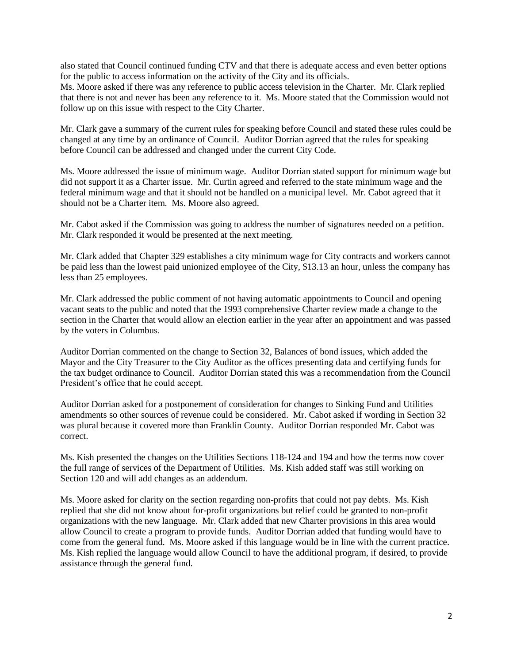also stated that Council continued funding CTV and that there is adequate access and even better options for the public to access information on the activity of the City and its officials.

Ms. Moore asked if there was any reference to public access television in the Charter. Mr. Clark replied that there is not and never has been any reference to it. Ms. Moore stated that the Commission would not follow up on this issue with respect to the City Charter.

Mr. Clark gave a summary of the current rules for speaking before Council and stated these rules could be changed at any time by an ordinance of Council. Auditor Dorrian agreed that the rules for speaking before Council can be addressed and changed under the current City Code.

Ms. Moore addressed the issue of minimum wage. Auditor Dorrian stated support for minimum wage but did not support it as a Charter issue. Mr. Curtin agreed and referred to the state minimum wage and the federal minimum wage and that it should not be handled on a municipal level. Mr. Cabot agreed that it should not be a Charter item. Ms. Moore also agreed.

Mr. Cabot asked if the Commission was going to address the number of signatures needed on a petition. Mr. Clark responded it would be presented at the next meeting.

Mr. Clark added that Chapter 329 establishes a city minimum wage for City contracts and workers cannot be paid less than the lowest paid unionized employee of the City, \$13.13 an hour, unless the company has less than 25 employees.

Mr. Clark addressed the public comment of not having automatic appointments to Council and opening vacant seats to the public and noted that the 1993 comprehensive Charter review made a change to the section in the Charter that would allow an election earlier in the year after an appointment and was passed by the voters in Columbus.

Auditor Dorrian commented on the change to Section 32, Balances of bond issues, which added the Mayor and the City Treasurer to the City Auditor as the offices presenting data and certifying funds for the tax budget ordinance to Council. Auditor Dorrian stated this was a recommendation from the Council President's office that he could accept.

Auditor Dorrian asked for a postponement of consideration for changes to Sinking Fund and Utilities amendments so other sources of revenue could be considered. Mr. Cabot asked if wording in Section 32 was plural because it covered more than Franklin County. Auditor Dorrian responded Mr. Cabot was correct.

Ms. Kish presented the changes on the Utilities Sections 118-124 and 194 and how the terms now cover the full range of services of the Department of Utilities. Ms. Kish added staff was still working on Section 120 and will add changes as an addendum.

Ms. Moore asked for clarity on the section regarding non-profits that could not pay debts. Ms. Kish replied that she did not know about for-profit organizations but relief could be granted to non-profit organizations with the new language. Mr. Clark added that new Charter provisions in this area would allow Council to create a program to provide funds. Auditor Dorrian added that funding would have to come from the general fund. Ms. Moore asked if this language would be in line with the current practice. Ms. Kish replied the language would allow Council to have the additional program, if desired, to provide assistance through the general fund.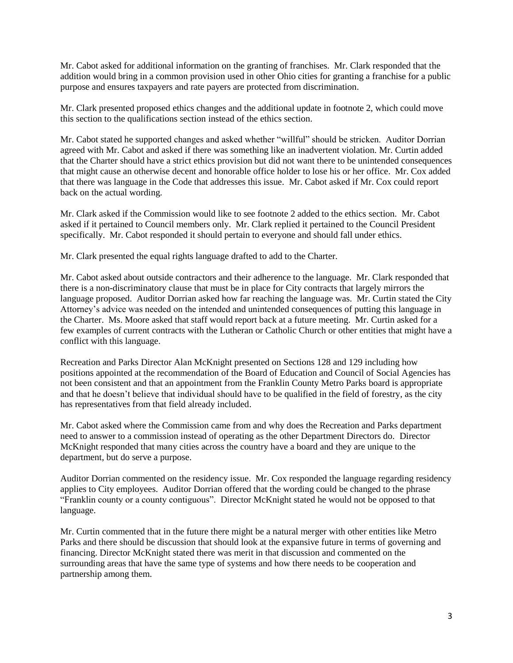Mr. Cabot asked for additional information on the granting of franchises. Mr. Clark responded that the addition would bring in a common provision used in other Ohio cities for granting a franchise for a public purpose and ensures taxpayers and rate payers are protected from discrimination.

Mr. Clark presented proposed ethics changes and the additional update in footnote 2, which could move this section to the qualifications section instead of the ethics section.

Mr. Cabot stated he supported changes and asked whether "willful" should be stricken. Auditor Dorrian agreed with Mr. Cabot and asked if there was something like an inadvertent violation. Mr. Curtin added that the Charter should have a strict ethics provision but did not want there to be unintended consequences that might cause an otherwise decent and honorable office holder to lose his or her office. Mr. Cox added that there was language in the Code that addresses this issue. Mr. Cabot asked if Mr. Cox could report back on the actual wording.

Mr. Clark asked if the Commission would like to see footnote 2 added to the ethics section. Mr. Cabot asked if it pertained to Council members only. Mr. Clark replied it pertained to the Council President specifically. Mr. Cabot responded it should pertain to everyone and should fall under ethics.

Mr. Clark presented the equal rights language drafted to add to the Charter.

Mr. Cabot asked about outside contractors and their adherence to the language. Mr. Clark responded that there is a non-discriminatory clause that must be in place for City contracts that largely mirrors the language proposed. Auditor Dorrian asked how far reaching the language was. Mr. Curtin stated the City Attorney's advice was needed on the intended and unintended consequences of putting this language in the Charter. Ms. Moore asked that staff would report back at a future meeting. Mr. Curtin asked for a few examples of current contracts with the Lutheran or Catholic Church or other entities that might have a conflict with this language.

Recreation and Parks Director Alan McKnight presented on Sections 128 and 129 including how positions appointed at the recommendation of the Board of Education and Council of Social Agencies has not been consistent and that an appointment from the Franklin County Metro Parks board is appropriate and that he doesn't believe that individual should have to be qualified in the field of forestry, as the city has representatives from that field already included.

Mr. Cabot asked where the Commission came from and why does the Recreation and Parks department need to answer to a commission instead of operating as the other Department Directors do. Director McKnight responded that many cities across the country have a board and they are unique to the department, but do serve a purpose.

Auditor Dorrian commented on the residency issue. Mr. Cox responded the language regarding residency applies to City employees. Auditor Dorrian offered that the wording could be changed to the phrase "Franklin county or a county contiguous". Director McKnight stated he would not be opposed to that language.

Mr. Curtin commented that in the future there might be a natural merger with other entities like Metro Parks and there should be discussion that should look at the expansive future in terms of governing and financing. Director McKnight stated there was merit in that discussion and commented on the surrounding areas that have the same type of systems and how there needs to be cooperation and partnership among them.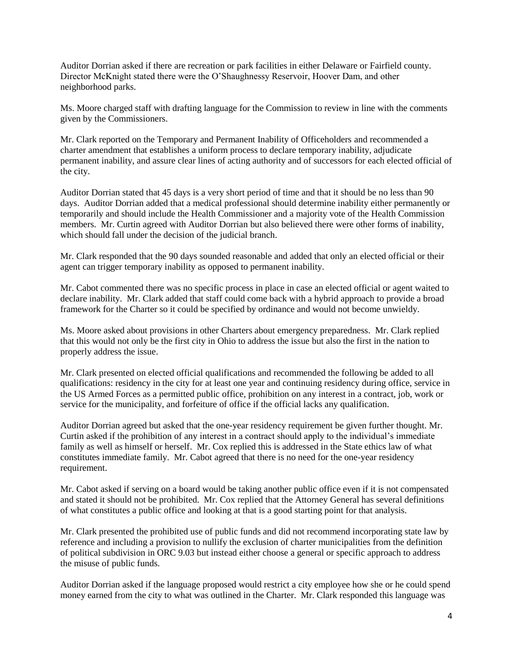Auditor Dorrian asked if there are recreation or park facilities in either Delaware or Fairfield county. Director McKnight stated there were the O'Shaughnessy Reservoir, Hoover Dam, and other neighborhood parks.

Ms. Moore charged staff with drafting language for the Commission to review in line with the comments given by the Commissioners.

Mr. Clark reported on the Temporary and Permanent Inability of Officeholders and recommended a charter amendment that establishes a uniform process to declare temporary inability, adjudicate permanent inability, and assure clear lines of acting authority and of successors for each elected official of the city.

Auditor Dorrian stated that 45 days is a very short period of time and that it should be no less than 90 days. Auditor Dorrian added that a medical professional should determine inability either permanently or temporarily and should include the Health Commissioner and a majority vote of the Health Commission members. Mr. Curtin agreed with Auditor Dorrian but also believed there were other forms of inability, which should fall under the decision of the judicial branch.

Mr. Clark responded that the 90 days sounded reasonable and added that only an elected official or their agent can trigger temporary inability as opposed to permanent inability.

Mr. Cabot commented there was no specific process in place in case an elected official or agent waited to declare inability. Mr. Clark added that staff could come back with a hybrid approach to provide a broad framework for the Charter so it could be specified by ordinance and would not become unwieldy.

Ms. Moore asked about provisions in other Charters about emergency preparedness. Mr. Clark replied that this would not only be the first city in Ohio to address the issue but also the first in the nation to properly address the issue.

Mr. Clark presented on elected official qualifications and recommended the following be added to all qualifications: residency in the city for at least one year and continuing residency during office, service in the US Armed Forces as a permitted public office, prohibition on any interest in a contract, job, work or service for the municipality, and forfeiture of office if the official lacks any qualification.

Auditor Dorrian agreed but asked that the one-year residency requirement be given further thought. Mr. Curtin asked if the prohibition of any interest in a contract should apply to the individual's immediate family as well as himself or herself. Mr. Cox replied this is addressed in the State ethics law of what constitutes immediate family. Mr. Cabot agreed that there is no need for the one-year residency requirement.

Mr. Cabot asked if serving on a board would be taking another public office even if it is not compensated and stated it should not be prohibited. Mr. Cox replied that the Attorney General has several definitions of what constitutes a public office and looking at that is a good starting point for that analysis.

Mr. Clark presented the prohibited use of public funds and did not recommend incorporating state law by reference and including a provision to nullify the exclusion of charter municipalities from the definition of political subdivision in ORC 9.03 but instead either choose a general or specific approach to address the misuse of public funds.

Auditor Dorrian asked if the language proposed would restrict a city employee how she or he could spend money earned from the city to what was outlined in the Charter. Mr. Clark responded this language was